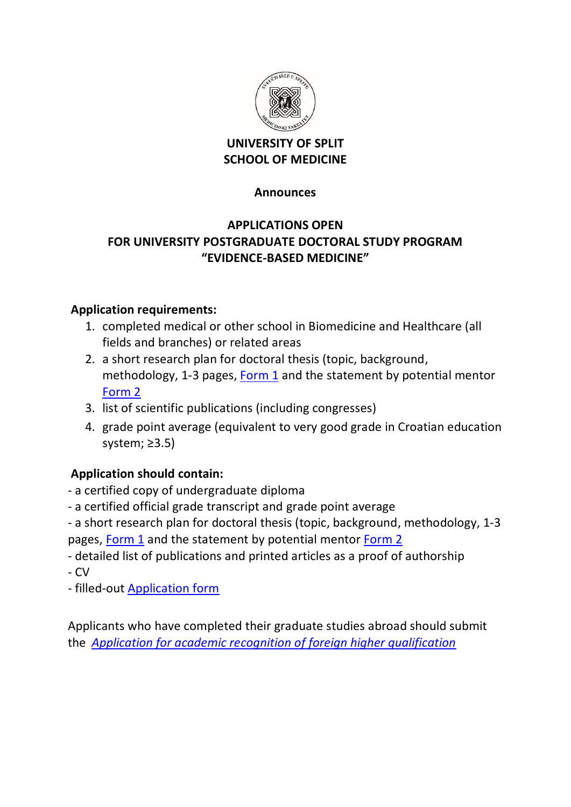

### **UNIVERSITY OF SPLIT SCHOOL OF MEDICINE**

#### **Announces**

## **APPLICATIONS OPEN FOR UNIVERSITY POSTGRADUATE DOCTORAL STUDY PROGRAM "EVIDENCE-BASED MEDICINE"**

### **Application requirements:**

- 1. completed medical or other school in Biomedicine and Healthcare (all fields and branches) or related areas
- 2. a short research plan for doctoral thesis (topic, background, methodology, 1-3 pages, [Form 1](http://neuron.mefst.hr/docs/graduate_school/ebm/2019-2020/Form_1_edit.docx) and the statement by potential mentor [Form 2](http://neuron.mefst.hr/docs/graduate_school/ebm/2019-2020/Form_2_edit.docx)
- 3. list of scientific publications (including congresses)
- 4. grade point average (equivalent to very good grade in Croatian education system; ≥3.5)

# **Application should contain:**

- a certified copy of undergraduate diploma
- ‐ a certified official grade transcript and grade point average

- a short research plan for doctoral thesis (topic, background, methodology, 1-3 pages, [Form 1](http://neuron.mefst.hr/docs/graduate_school/ebm/2019-2020/Form_1_edit.docx) and the statement by potential mentor [Form 2](http://neuron.mefst.hr/docs/graduate_school/ebm/2019-2020/Form_2_edit.docx)

- detailed list of publications and printed articles as a proof of authorship
- CV
- filled-out [Application form](http://neuron.mefst.hr/docs/graduate_school/ebm/2019-2020/Application%20Form_PhD_EBM.docx)

Applicants who have completed their graduate studies abroad should submit the *[Application for academic recognition of foreign higher qualification](http://neuron.mefst.hr/docs/graduate_school/ebm/2019-2020/NOVO%20-%20Zahtjev%20za%20priznavanje%20inozemne%20visokoskolske%20kvalifikacije%20%E2%80%93%20akademsko%20priznavanje%20.doc)*